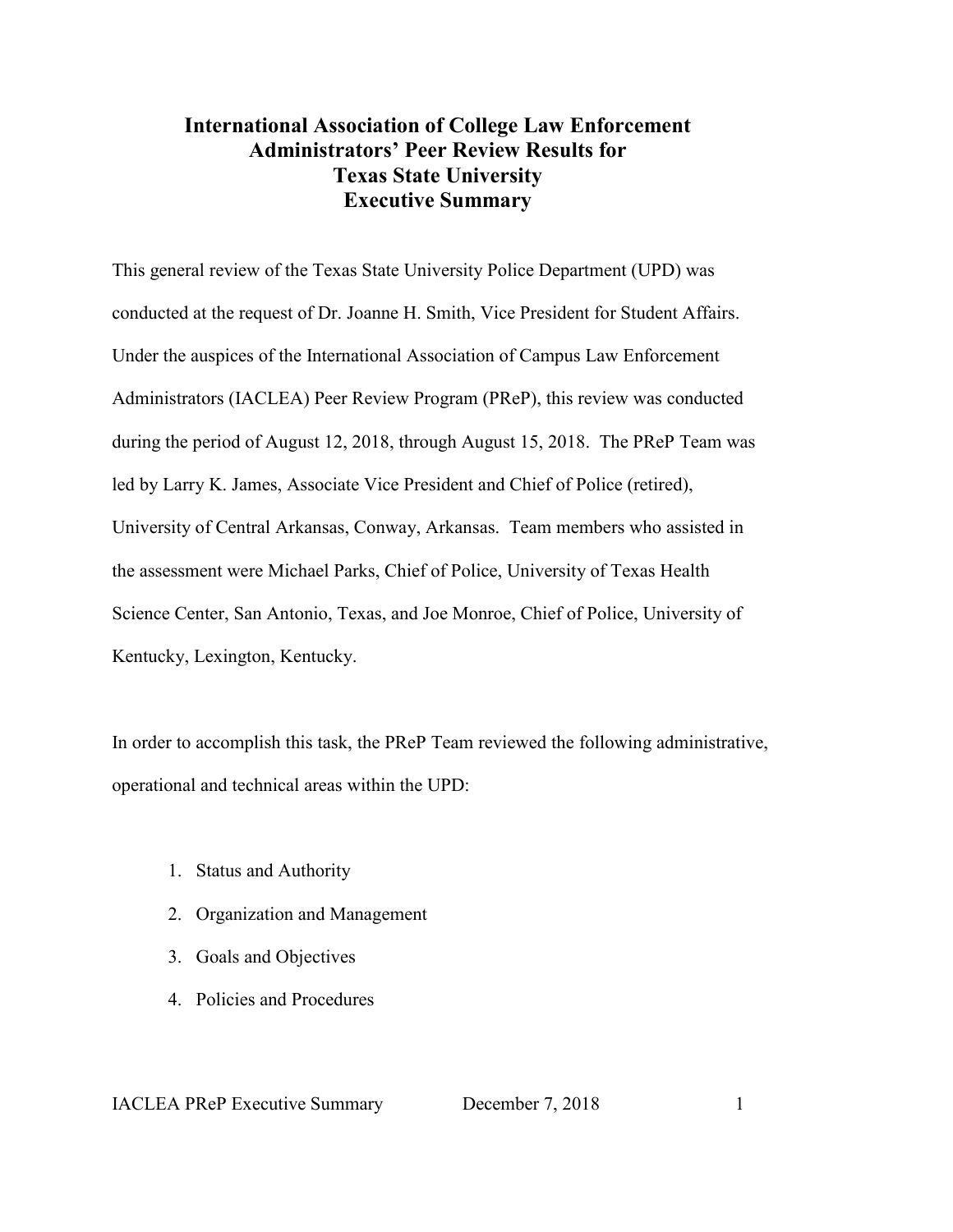# **International Association of College Law Enforcement Administrators' Peer Review Results for Texas State University Executive Summary**

This general review of the Texas State University Police Department (UPD) was conducted at the request of Dr. Joanne H. Smith, Vice President for Student Affairs. Under the auspices of the International Association of Campus Law Enforcement Administrators (IACLEA) Peer Review Program (PReP), this review was conducted during the period of August 12, 2018, through August 15, 2018. The PReP Team was led by Larry K. James, Associate Vice President and Chief of Police (retired), University of Central Arkansas, Conway, Arkansas. Team members who assisted in the assessment were Michael Parks, Chief of Police, University of Texas Health Science Center, San Antonio, Texas, and Joe Monroe, Chief of Police, University of Kentucky, Lexington, Kentucky.

In order to accomplish this task, the PReP Team reviewed the following administrative, operational and technical areas within the UPD:

- 1. Status and Authority
- 2. Organization and Management
- 3. Goals and Objectives
- 4. Policies and Procedures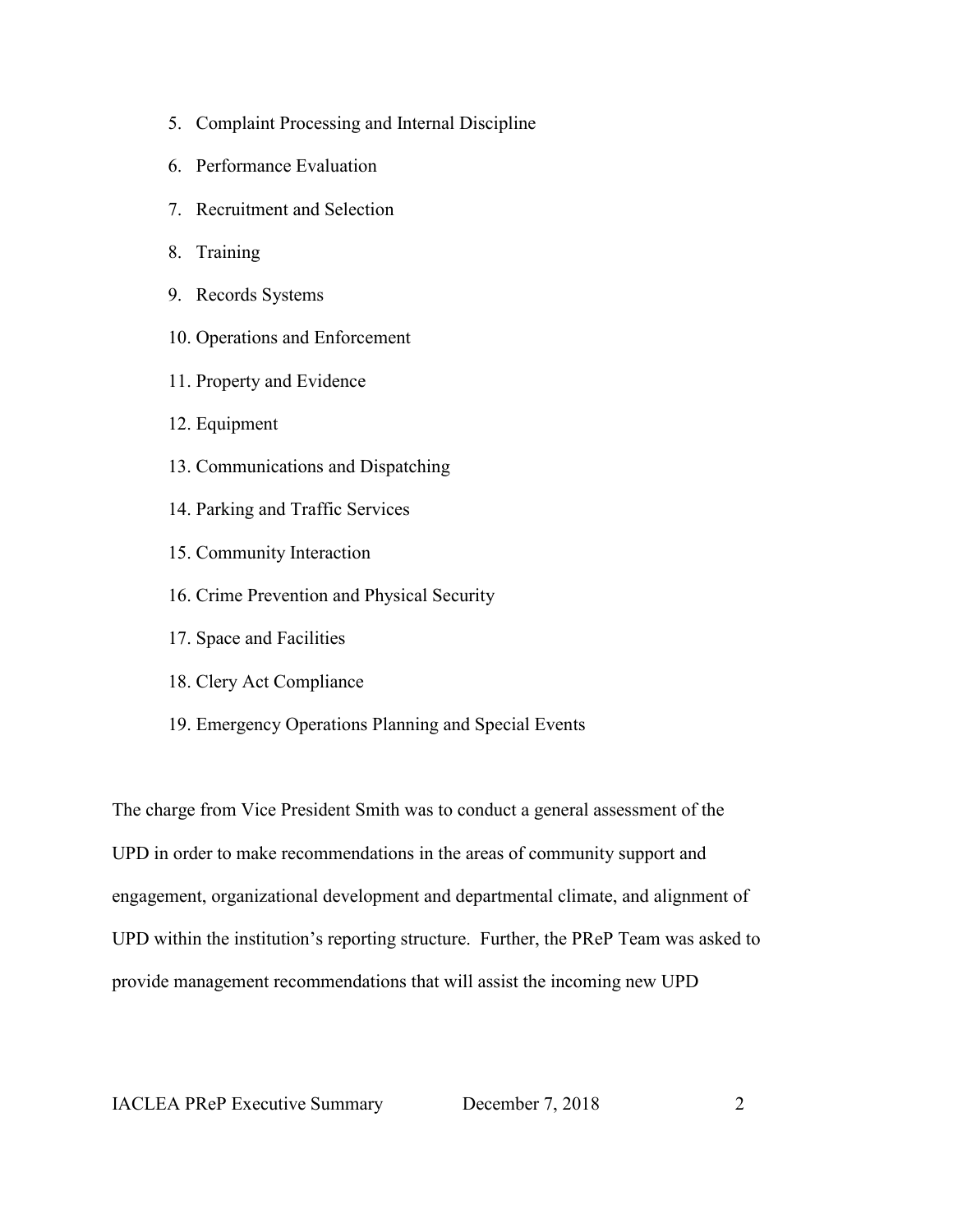- 5. Complaint Processing and Internal Discipline
- 6. Performance Evaluation
- 7. Recruitment and Selection
- 8. Training
- 9. Records Systems
- 10. Operations and Enforcement
- 11. Property and Evidence
- 12. Equipment
- 13. Communications and Dispatching
- 14. Parking and Traffic Services
- 15. Community Interaction
- 16. Crime Prevention and Physical Security
- 17. Space and Facilities
- 18. Clery Act Compliance
- 19. Emergency Operations Planning and Special Events

The charge from Vice President Smith was to conduct a general assessment of the UPD in order to make recommendations in the areas of community support and engagement, organizational development and departmental climate, and alignment of UPD within the institution's reporting structure. Further, the PReP Team was asked to provide management recommendations that will assist the incoming new UPD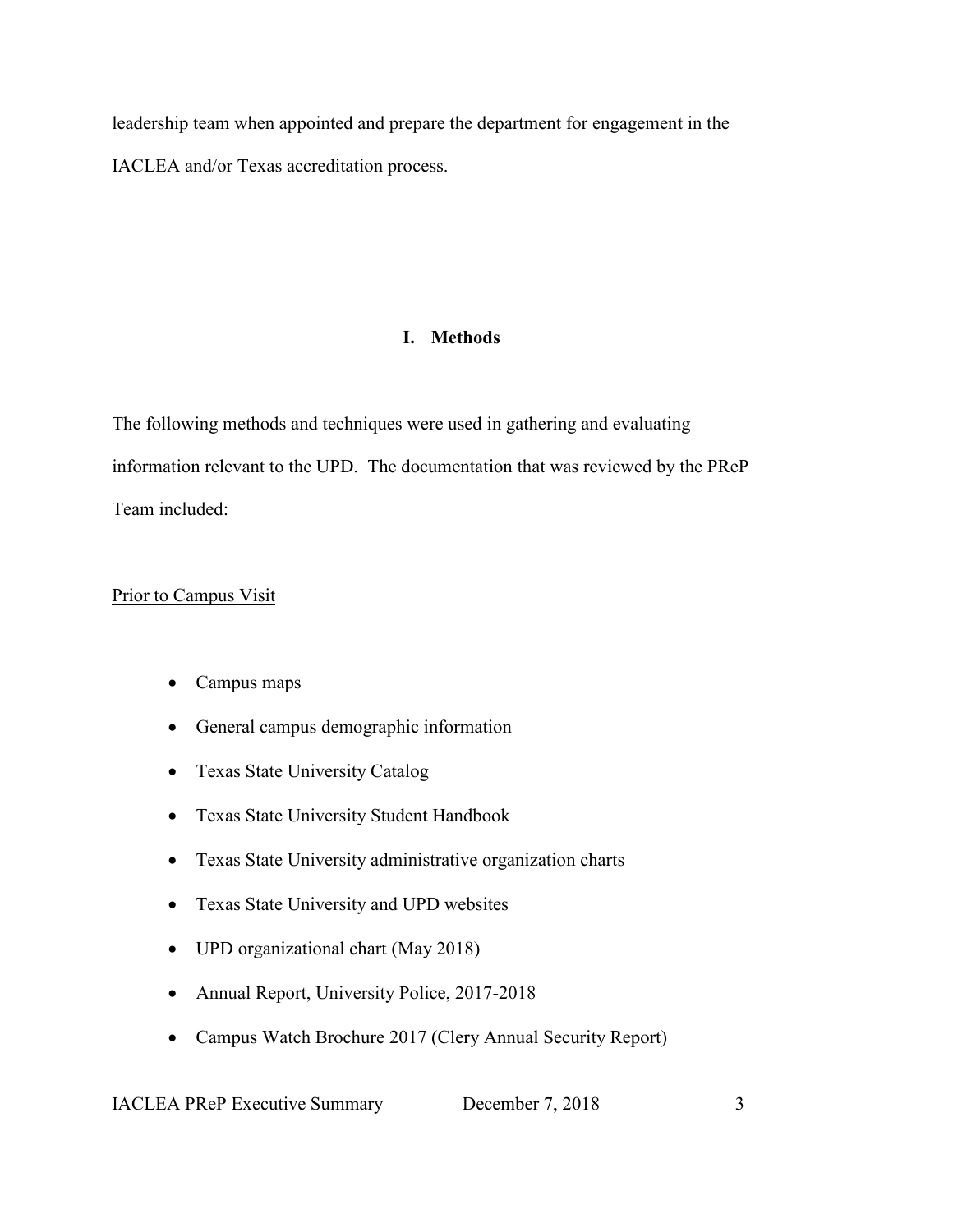leadership team when appointed and prepare the department for engagement in the IACLEA and/or Texas accreditation process.

## **I. Methods**

The following methods and techniques were used in gathering and evaluating information relevant to the UPD. The documentation that was reviewed by the PReP Team included:

### Prior to Campus Visit

- Campus maps
- General campus demographic information
- Texas State University Catalog
- Texas State University Student Handbook
- Texas State University administrative organization charts
- Texas State University and UPD websites
- UPD organizational chart (May 2018)
- Annual Report, University Police, 2017-2018
- Campus Watch Brochure 2017 (Clery Annual Security Report)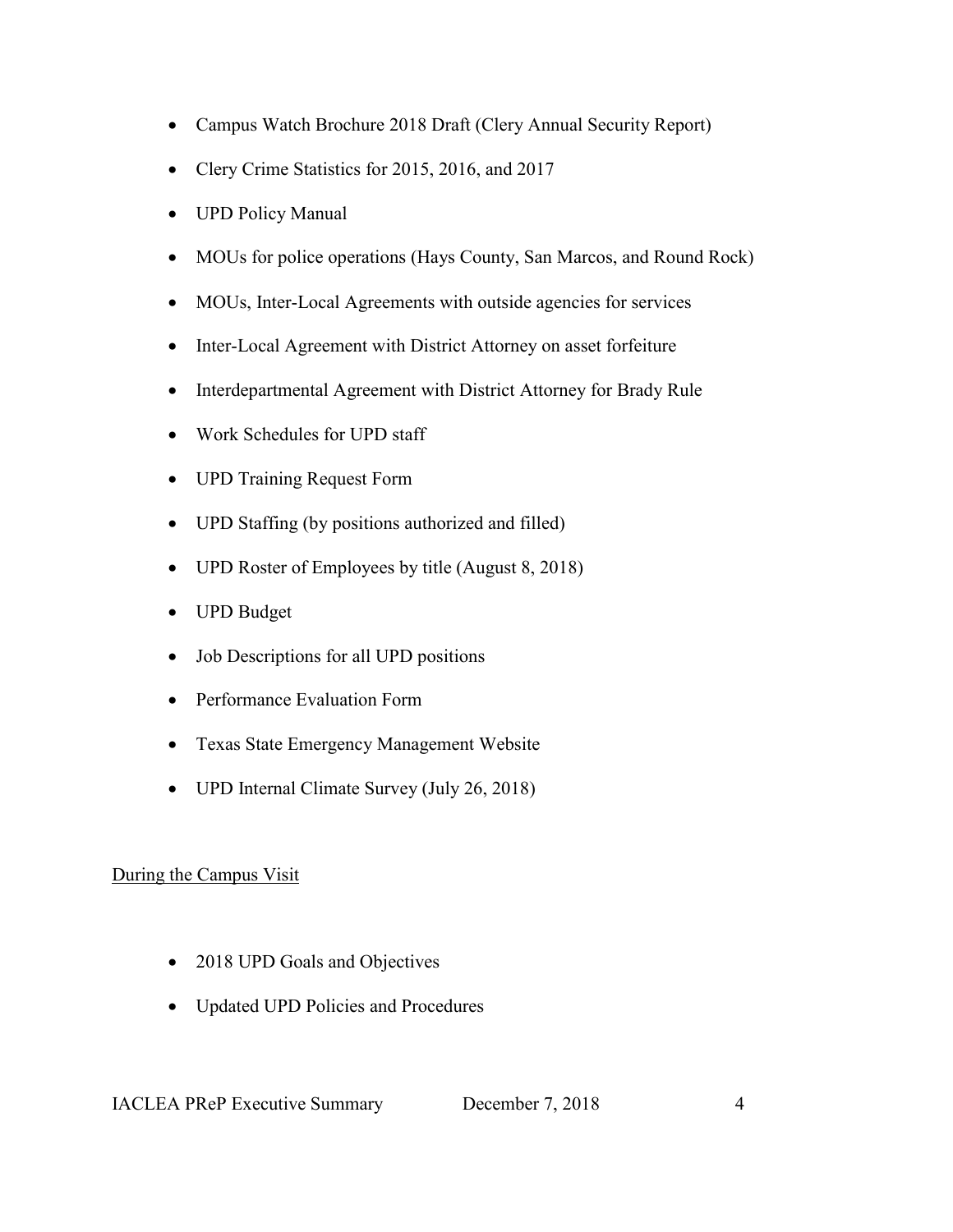- Campus Watch Brochure 2018 Draft (Clery Annual Security Report)
- Clery Crime Statistics for 2015, 2016, and 2017
- UPD Policy Manual
- MOUs for police operations (Hays County, San Marcos, and Round Rock)
- MOUs, Inter-Local Agreements with outside agencies for services
- Inter-Local Agreement with District Attorney on asset forfeiture
- Interdepartmental Agreement with District Attorney for Brady Rule
- Work Schedules for UPD staff
- UPD Training Request Form
- UPD Staffing (by positions authorized and filled)
- UPD Roster of Employees by title (August 8, 2018)
- UPD Budget
- Job Descriptions for all UPD positions
- Performance Evaluation Form
- Texas State Emergency Management Website
- UPD Internal Climate Survey (July 26, 2018)

# During the Campus Visit

- 2018 UPD Goals and Objectives
- Updated UPD Policies and Procedures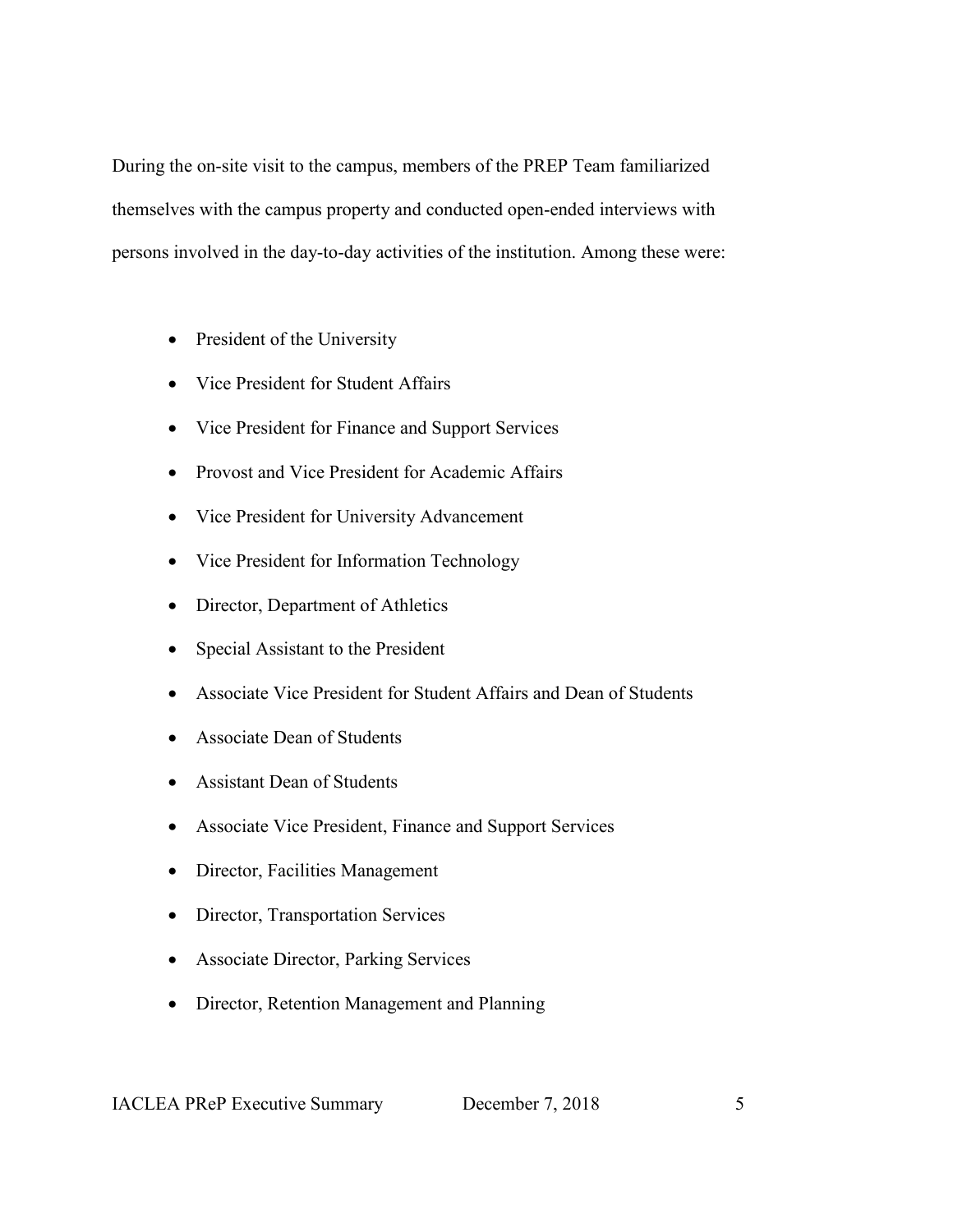During the on-site visit to the campus, members of the PREP Team familiarized themselves with the campus property and conducted open-ended interviews with persons involved in the day-to-day activities of the institution. Among these were:

- President of the University
- Vice President for Student Affairs
- Vice President for Finance and Support Services
- Provost and Vice President for Academic Affairs
- Vice President for University Advancement
- Vice President for Information Technology
- Director, Department of Athletics
- Special Assistant to the President
- Associate Vice President for Student Affairs and Dean of Students
- Associate Dean of Students
- Assistant Dean of Students
- Associate Vice President, Finance and Support Services
- Director, Facilities Management
- Director, Transportation Services
- Associate Director, Parking Services
- Director, Retention Management and Planning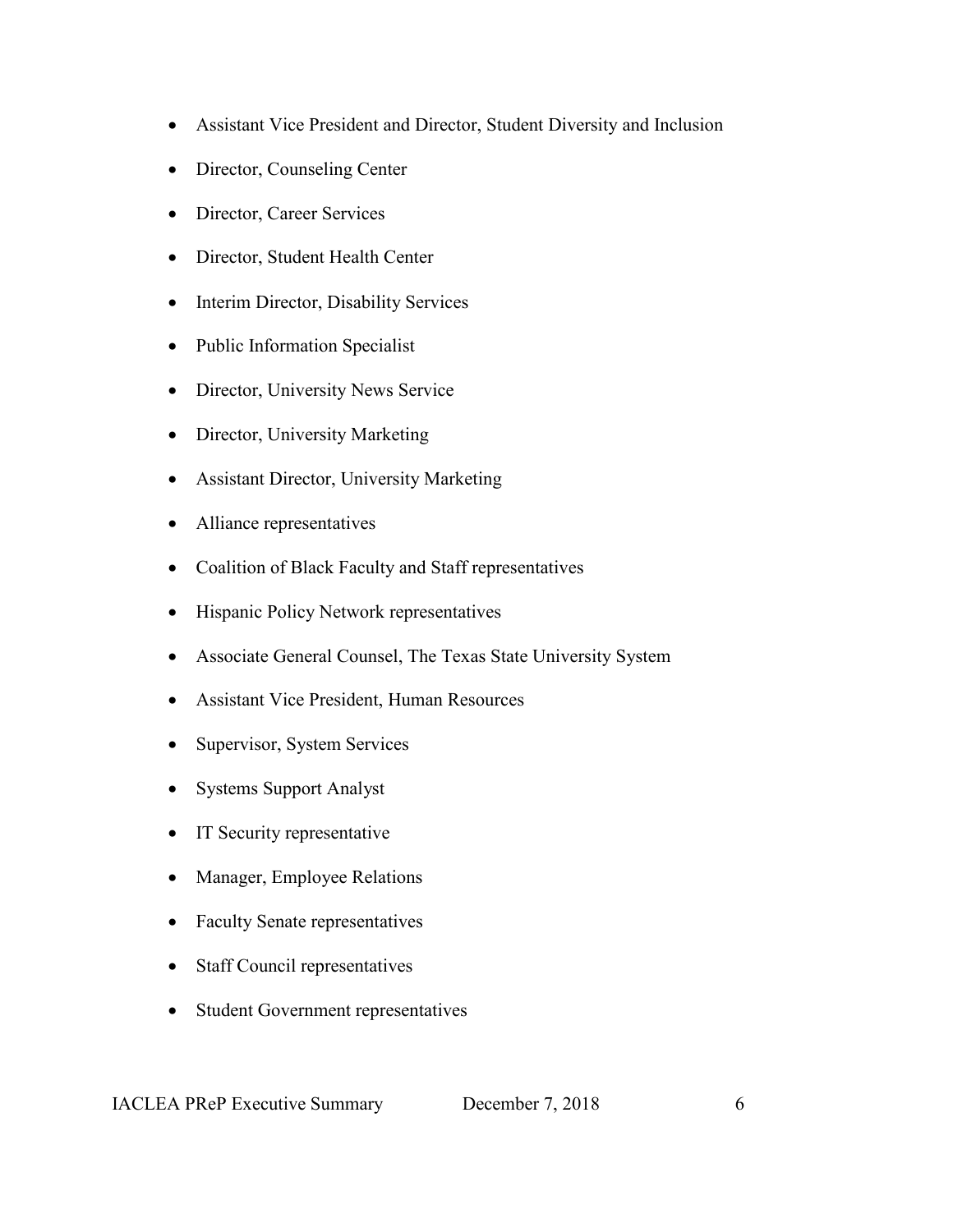- Assistant Vice President and Director, Student Diversity and Inclusion
- Director, Counseling Center
- Director, Career Services
- Director, Student Health Center
- Interim Director, Disability Services
- Public Information Specialist
- Director, University News Service
- Director, University Marketing
- Assistant Director, University Marketing
- Alliance representatives
- Coalition of Black Faculty and Staff representatives
- Hispanic Policy Network representatives
- Associate General Counsel, The Texas State University System
- Assistant Vice President, Human Resources
- Supervisor, System Services
- Systems Support Analyst
- IT Security representative
- Manager, Employee Relations
- Faculty Senate representatives
- Staff Council representatives
- Student Government representatives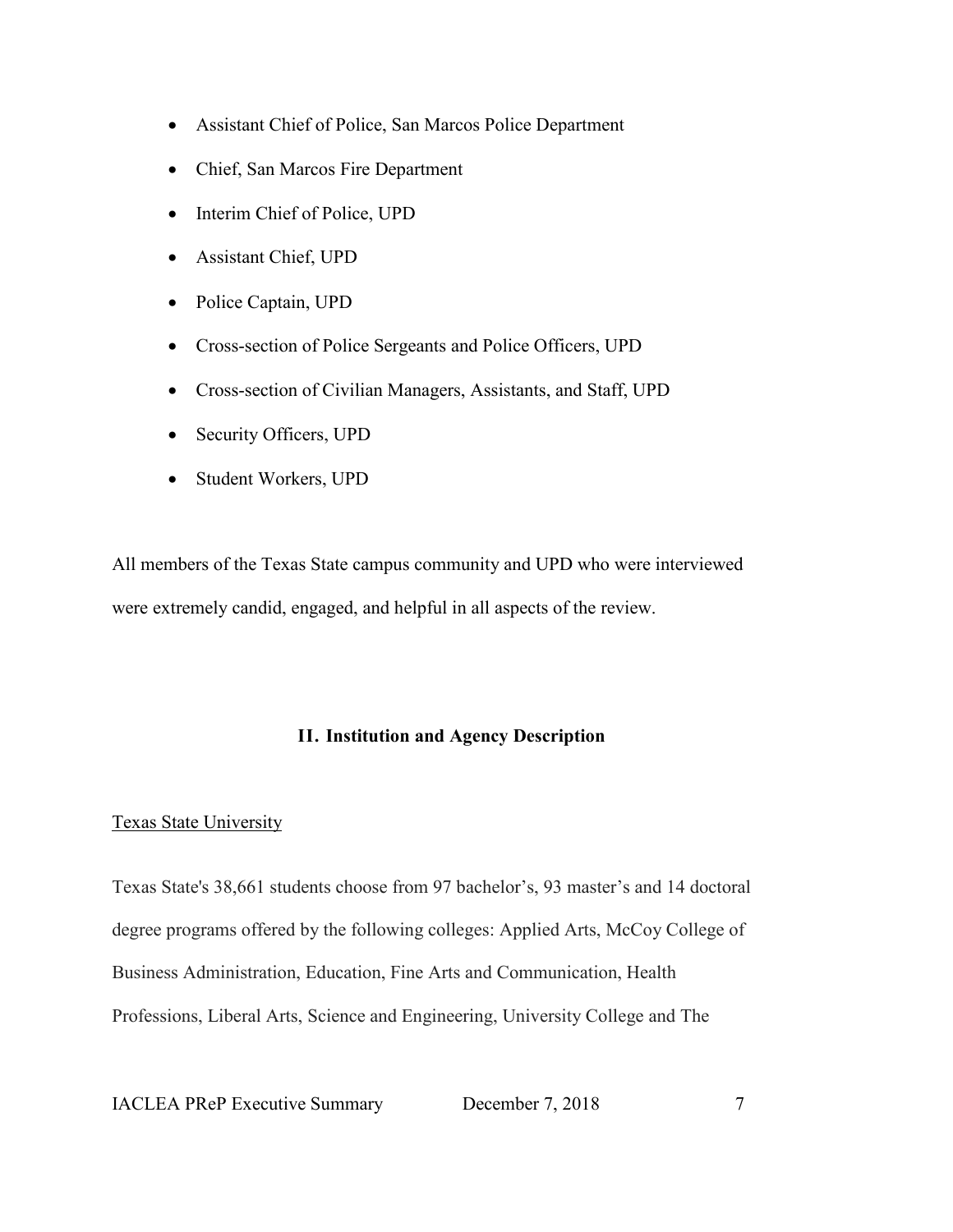- Assistant Chief of Police, San Marcos Police Department
- Chief, San Marcos Fire Department
- Interim Chief of Police, UPD
- Assistant Chief, UPD
- Police Captain, UPD
- Cross-section of Police Sergeants and Police Officers, UPD
- Cross-section of Civilian Managers, Assistants, and Staff, UPD
- Security Officers, UPD
- Student Workers, UPD

All members of the Texas State campus community and UPD who were interviewed were extremely candid, engaged, and helpful in all aspects of the review.

### **II. Institution and Agency Description**

#### Texas State University

Texas State's 38,661 students choose from 97 bachelor's, 93 master's and 14 doctoral degree programs offered by the following colleges: Applied Arts, McCoy College of Business Administration, Education, Fine Arts and Communication, Health Professions, Liberal Arts, Science and Engineering, University College and The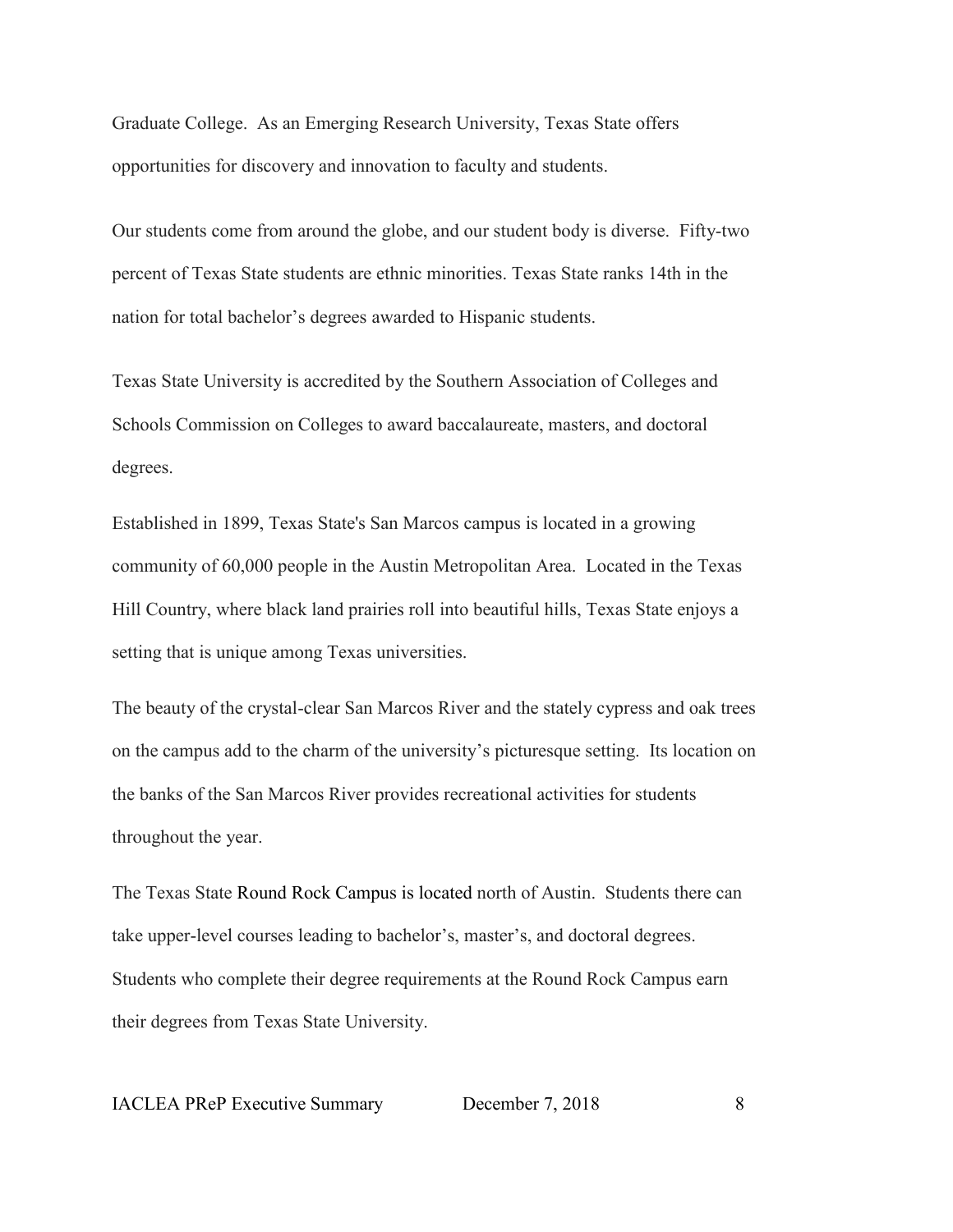Graduate College. As an Emerging Research University, Texas State offers opportunities for discovery and innovation to faculty and students.

Our students come from around the globe, and our student body is diverse. Fifty-two percent of Texas State students are ethnic minorities. Texas State ranks 14th in the nation for total bachelor's degrees awarded to Hispanic students.

Texas State University is accredited by the Southern Association of Colleges and Schools Commission on Colleges to award baccalaureate, masters, and doctoral degrees.

Established in 1899, Texas State's San Marcos campus is located in a growing community of 60,000 people in the Austin Metropolitan Area. Located in the Texas Hill Country, where black land prairies roll into beautiful hills, Texas State enjoys a setting that is unique among Texas universities.

The beauty of the crystal-clear San Marcos River and the stately cypress and oak trees on the campus add to the charm of the university's picturesque setting. Its location on the banks of the San Marcos River provides recreational activities for students throughout the year.

The Texas State [Round Rock Campus](http://www.rrc.txstate.edu/) is located north of Austin. Students there can take upper-level courses leading to bachelor's, master's, and doctoral degrees. Students who complete their degree requirements at the Round Rock Campus earn their degrees from Texas State University.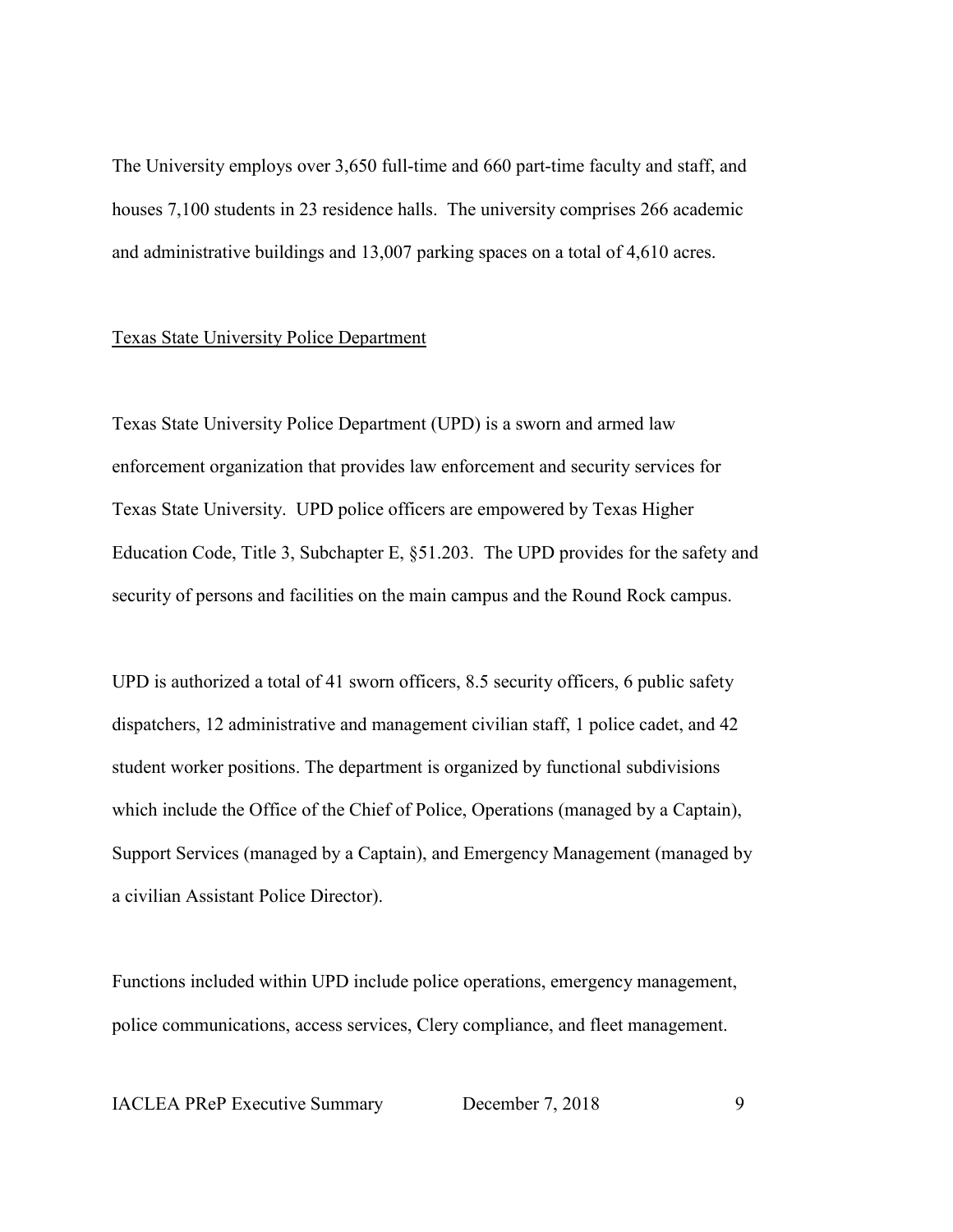The University employs over 3,650 full-time and 660 part-time faculty and staff, and houses 7,100 students in 23 residence halls. The university comprises 266 academic and administrative buildings and 13,007 parking spaces on a total of 4,610 acres.

#### Texas State University Police Department

Texas State University Police Department (UPD) is a sworn and armed law enforcement organization that provides law enforcement and security services for Texas State University. UPD police officers are empowered by Texas Higher Education Code, Title 3, Subchapter E, §51.203. The UPD provides for the safety and security of persons and facilities on the main campus and the Round Rock campus.

UPD is authorized a total of 41 sworn officers, 8.5 security officers, 6 public safety dispatchers, 12 administrative and management civilian staff, 1 police cadet, and 42 student worker positions. The department is organized by functional subdivisions which include the Office of the Chief of Police, Operations (managed by a Captain), Support Services (managed by a Captain), and Emergency Management (managed by a civilian Assistant Police Director).

Functions included within UPD include police operations, emergency management, police communications, access services, Clery compliance, and fleet management.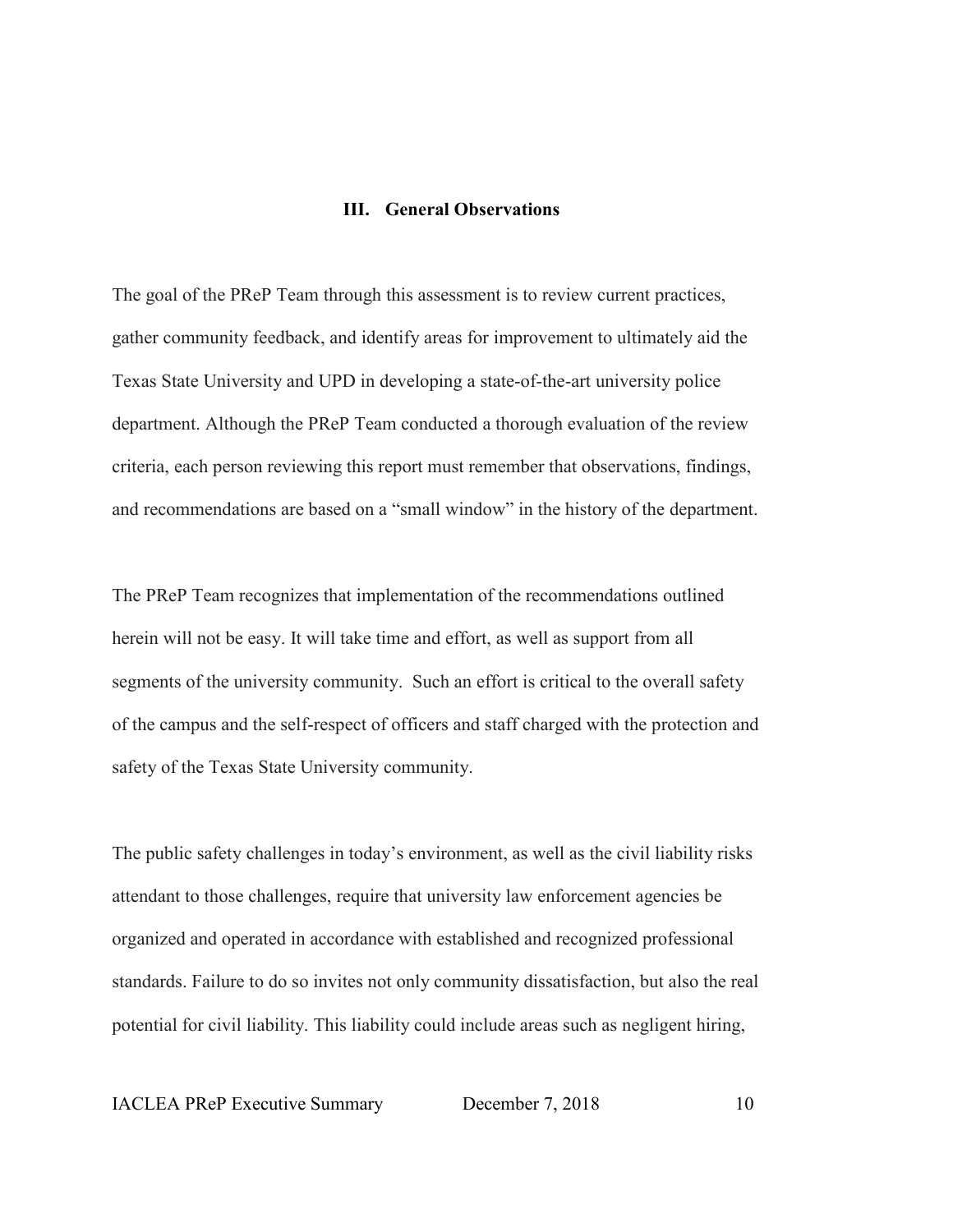#### **III. General Observations**

The goal of the PReP Team through this assessment is to review current practices, gather community feedback, and identify areas for improvement to ultimately aid the Texas State University and UPD in developing a state-of-the-art university police department. Although the PReP Team conducted a thorough evaluation of the review criteria, each person reviewing this report must remember that observations, findings, and recommendations are based on a "small window" in the history of the department.

The PReP Team recognizes that implementation of the recommendations outlined herein will not be easy. It will take time and effort, as well as support from all segments of the university community. Such an effort is critical to the overall safety of the campus and the self-respect of officers and staff charged with the protection and safety of the Texas State University community.

The public safety challenges in today's environment, as well as the civil liability risks attendant to those challenges, require that university law enforcement agencies be organized and operated in accordance with established and recognized professional standards. Failure to do so invites not only community dissatisfaction, but also the real potential for civil liability. This liability could include areas such as negligent hiring,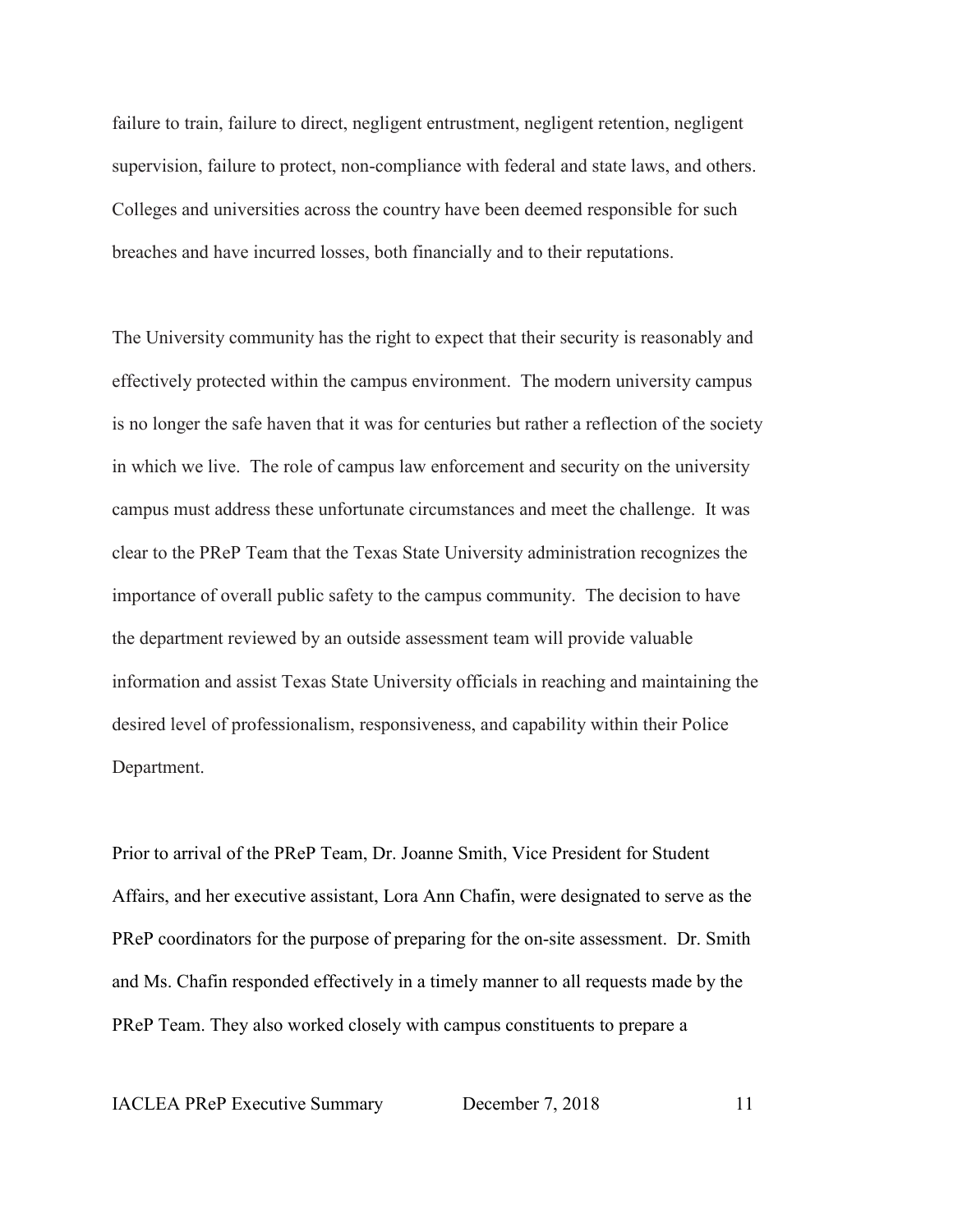failure to train, failure to direct, negligent entrustment, negligent retention, negligent supervision, failure to protect, non-compliance with federal and state laws, and others. Colleges and universities across the country have been deemed responsible for such breaches and have incurred losses, both financially and to their reputations.

The University community has the right to expect that their security is reasonably and effectively protected within the campus environment. The modern university campus is no longer the safe haven that it was for centuries but rather a reflection of the society in which we live. The role of campus law enforcement and security on the university campus must address these unfortunate circumstances and meet the challenge. It was clear to the PReP Team that the Texas State University administration recognizes the importance of overall public safety to the campus community. The decision to have the department reviewed by an outside assessment team will provide valuable information and assist Texas State University officials in reaching and maintaining the desired level of professionalism, responsiveness, and capability within their Police Department.

Prior to arrival of the PReP Team, Dr. Joanne Smith, Vice President for Student Affairs, and her executive assistant, Lora Ann Chafin, were designated to serve as the PReP coordinators for the purpose of preparing for the on-site assessment. Dr. Smith and Ms. Chafin responded effectively in a timely manner to all requests made by the PReP Team. They also worked closely with campus constituents to prepare a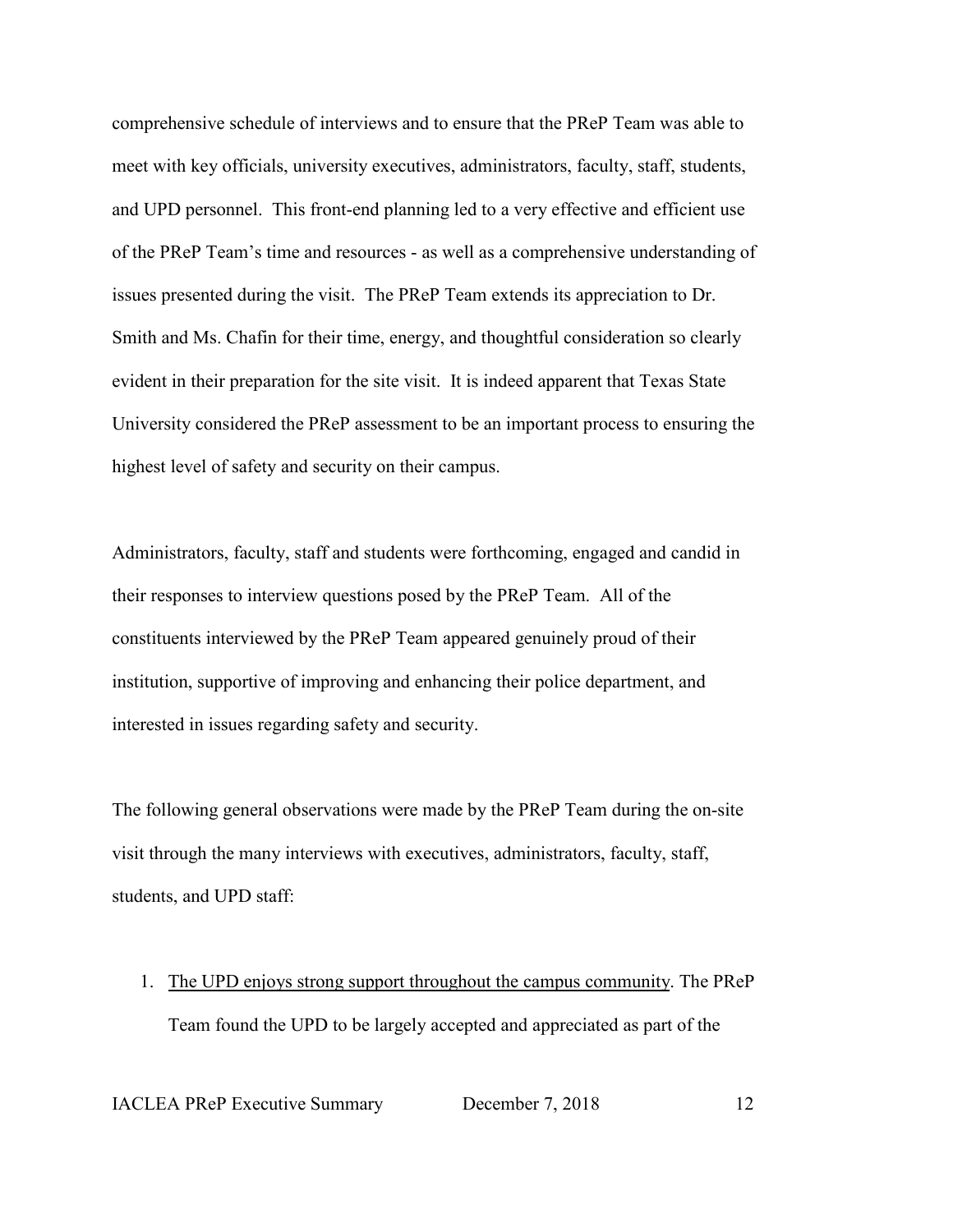comprehensive schedule of interviews and to ensure that the PReP Team was able to meet with key officials, university executives, administrators, faculty, staff, students, and UPD personnel. This front-end planning led to a very effective and efficient use of the PReP Team's time and resources - as well as a comprehensive understanding of issues presented during the visit. The PReP Team extends its appreciation to Dr. Smith and Ms. Chafin for their time, energy, and thoughtful consideration so clearly evident in their preparation for the site visit. It is indeed apparent that Texas State University considered the PReP assessment to be an important process to ensuring the highest level of safety and security on their campus.

Administrators, faculty, staff and students were forthcoming, engaged and candid in their responses to interview questions posed by the PReP Team. All of the constituents interviewed by the PReP Team appeared genuinely proud of their institution, supportive of improving and enhancing their police department, and interested in issues regarding safety and security.

The following general observations were made by the PReP Team during the on-site visit through the many interviews with executives, administrators, faculty, staff, students, and UPD staff:

1. The UPD enjoys strong support throughout the campus community. The PReP Team found the UPD to be largely accepted and appreciated as part of the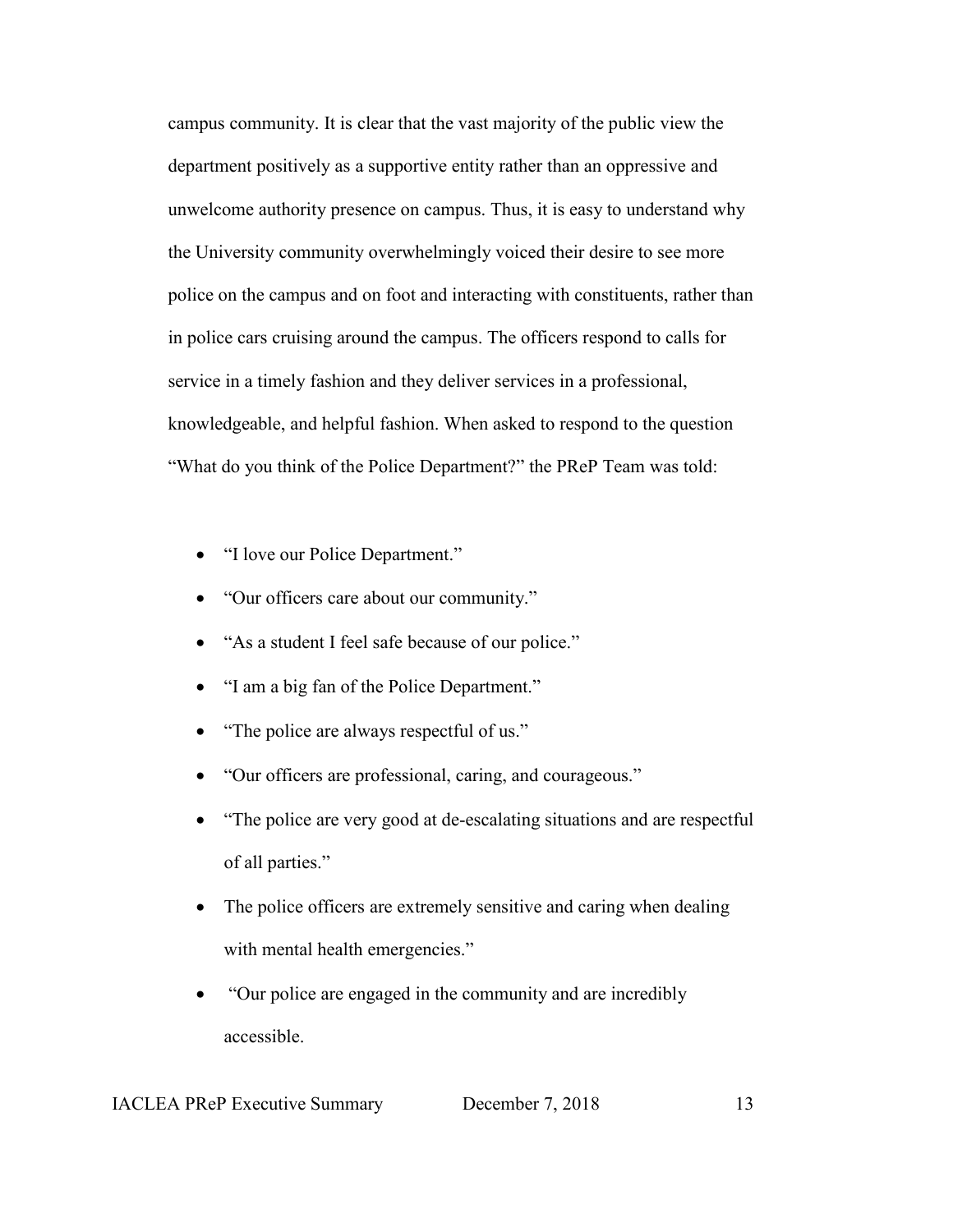campus community. It is clear that the vast majority of the public view the department positively as a supportive entity rather than an oppressive and unwelcome authority presence on campus. Thus, it is easy to understand why the University community overwhelmingly voiced their desire to see more police on the campus and on foot and interacting with constituents, rather than in police cars cruising around the campus. The officers respond to calls for service in a timely fashion and they deliver services in a professional, knowledgeable, and helpful fashion. When asked to respond to the question "What do you think of the Police Department?" the PReP Team was told:

- "I love our Police Department."
- "Our officers care about our community."
- "As a student I feel safe because of our police."
- "I am a big fan of the Police Department."
- "The police are always respectful of us."
- "Our officers are professional, caring, and courageous."
- "The police are very good at de-escalating situations and are respectful of all parties."
- The police officers are extremely sensitive and caring when dealing with mental health emergencies."
- "Our police are engaged in the community and are incredibly accessible.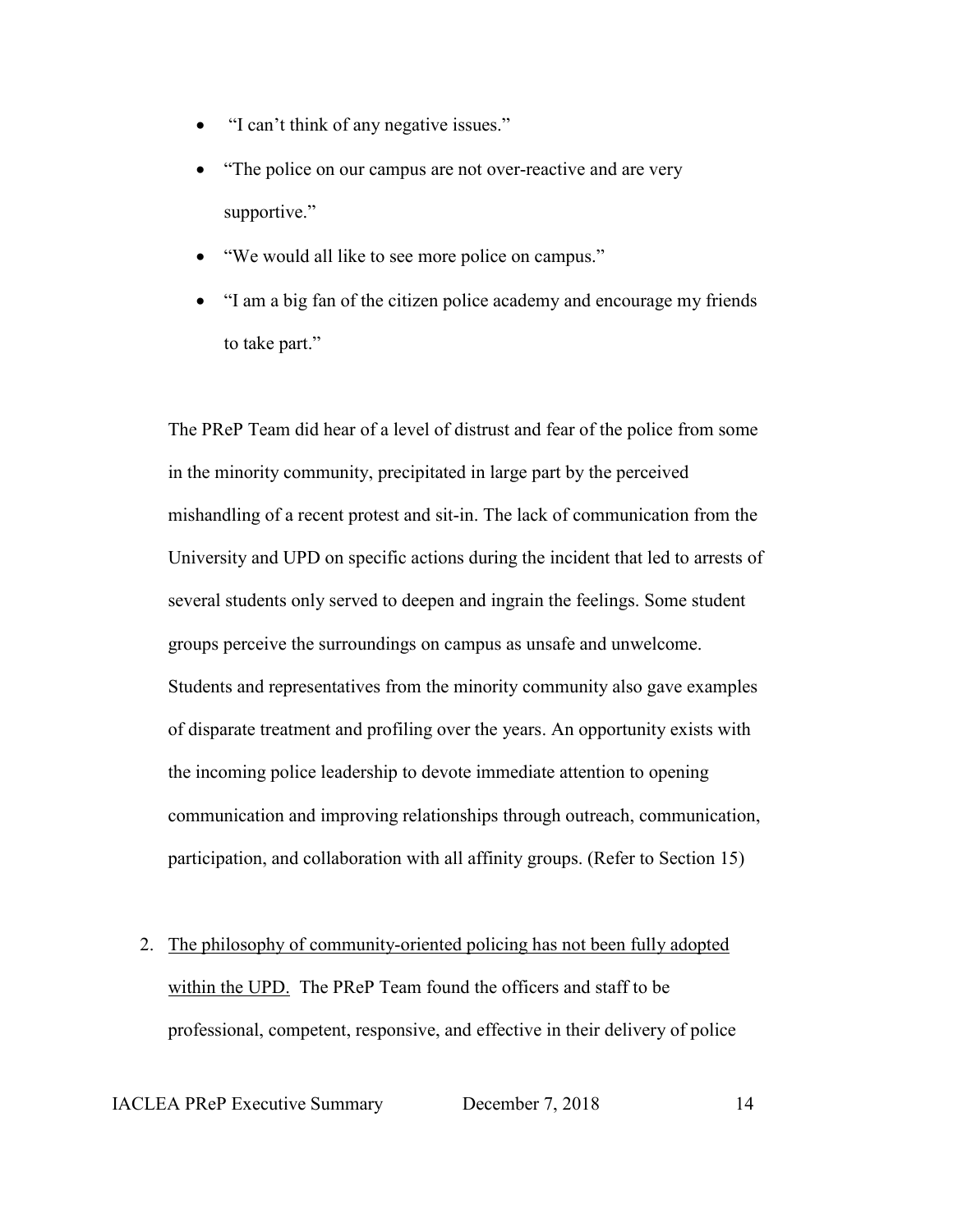- "I can't think of any negative issues."
- "The police on our campus are not over-reactive and are very supportive."
- "We would all like to see more police on campus."
- "I am a big fan of the citizen police academy and encourage my friends to take part."

The PReP Team did hear of a level of distrust and fear of the police from some in the minority community, precipitated in large part by the perceived mishandling of a recent protest and sit-in. The lack of communication from the University and UPD on specific actions during the incident that led to arrests of several students only served to deepen and ingrain the feelings. Some student groups perceive the surroundings on campus as unsafe and unwelcome. Students and representatives from the minority community also gave examples of disparate treatment and profiling over the years. An opportunity exists with the incoming police leadership to devote immediate attention to opening communication and improving relationships through outreach, communication, participation, and collaboration with all affinity groups. (Refer to Section 15)

2. The philosophy of community-oriented policing has not been fully adopted within the UPD. The PReP Team found the officers and staff to be professional, competent, responsive, and effective in their delivery of police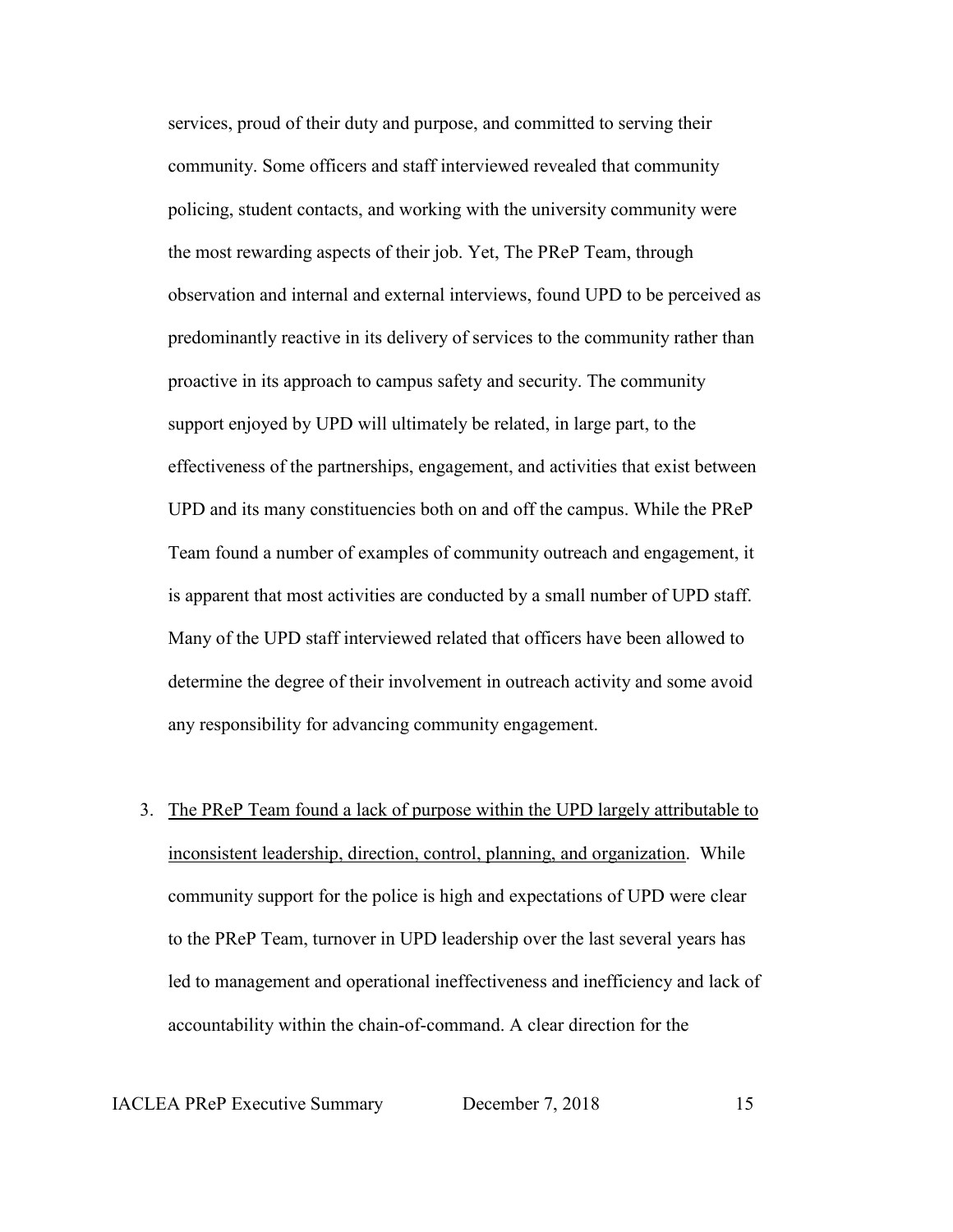services, proud of their duty and purpose, and committed to serving their community. Some officers and staff interviewed revealed that community policing, student contacts, and working with the university community were the most rewarding aspects of their job. Yet, The PReP Team, through observation and internal and external interviews, found UPD to be perceived as predominantly reactive in its delivery of services to the community rather than proactive in its approach to campus safety and security. The community support enjoyed by UPD will ultimately be related, in large part, to the effectiveness of the partnerships, engagement, and activities that exist between UPD and its many constituencies both on and off the campus. While the PReP Team found a number of examples of community outreach and engagement, it is apparent that most activities are conducted by a small number of UPD staff. Many of the UPD staff interviewed related that officers have been allowed to determine the degree of their involvement in outreach activity and some avoid any responsibility for advancing community engagement.

3. The PReP Team found a lack of purpose within the UPD largely attributable to inconsistent leadership, direction, control, planning, and organization. While community support for the police is high and expectations of UPD were clear to the PReP Team, turnover in UPD leadership over the last several years has led to management and operational ineffectiveness and inefficiency and lack of accountability within the chain-of-command. A clear direction for the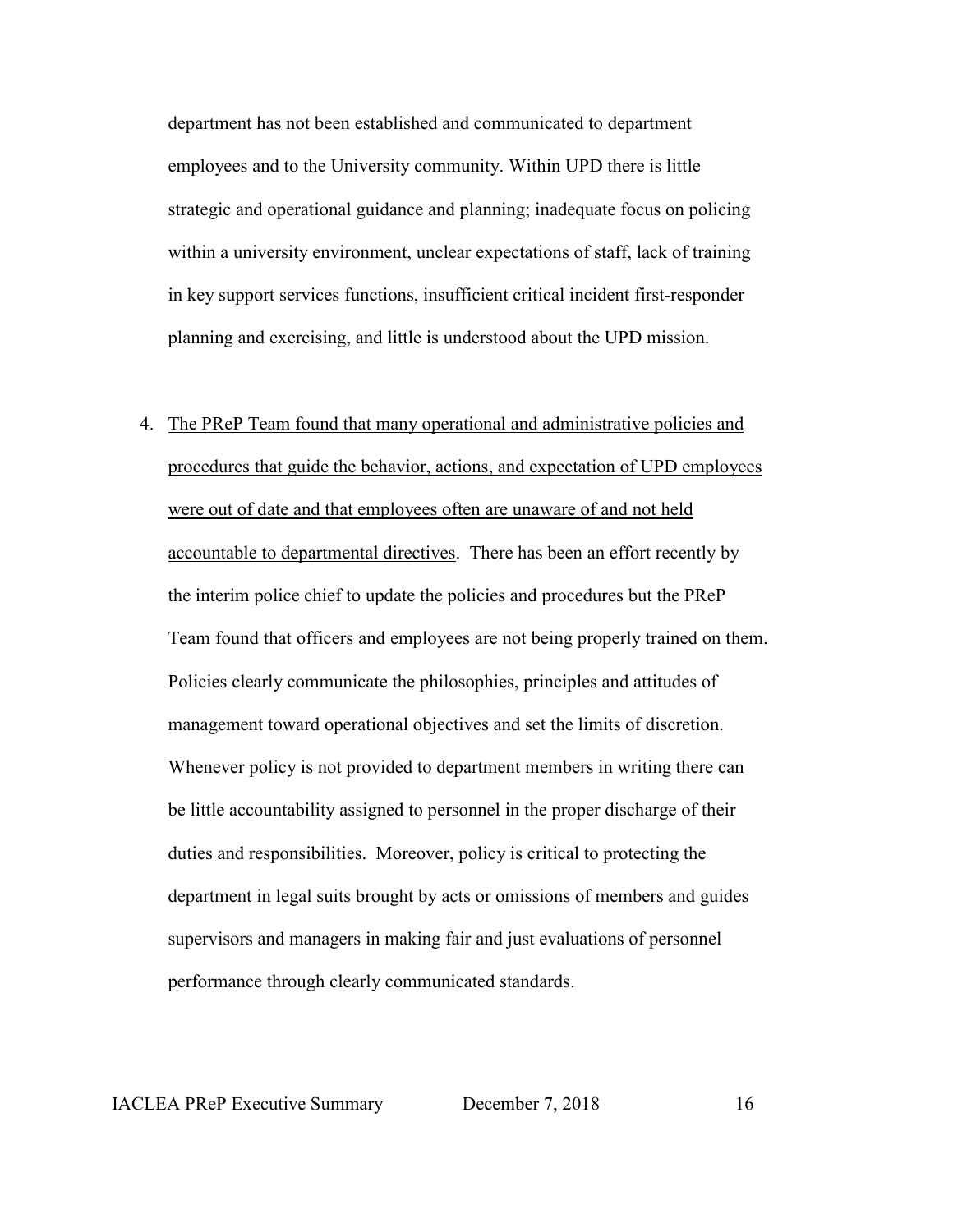department has not been established and communicated to department employees and to the University community. Within UPD there is little strategic and operational guidance and planning; inadequate focus on policing within a university environment, unclear expectations of staff, lack of training in key support services functions, insufficient critical incident first-responder planning and exercising, and little is understood about the UPD mission.

4. The PReP Team found that many operational and administrative policies and procedures that guide the behavior, actions, and expectation of UPD employees were out of date and that employees often are unaware of and not held accountable to departmental directives. There has been an effort recently by the interim police chief to update the policies and procedures but the PReP Team found that officers and employees are not being properly trained on them. Policies clearly communicate the philosophies, principles and attitudes of management toward operational objectives and set the limits of discretion. Whenever policy is not provided to department members in writing there can be little accountability assigned to personnel in the proper discharge of their duties and responsibilities. Moreover, policy is critical to protecting the department in legal suits brought by acts or omissions of members and guides supervisors and managers in making fair and just evaluations of personnel performance through clearly communicated standards.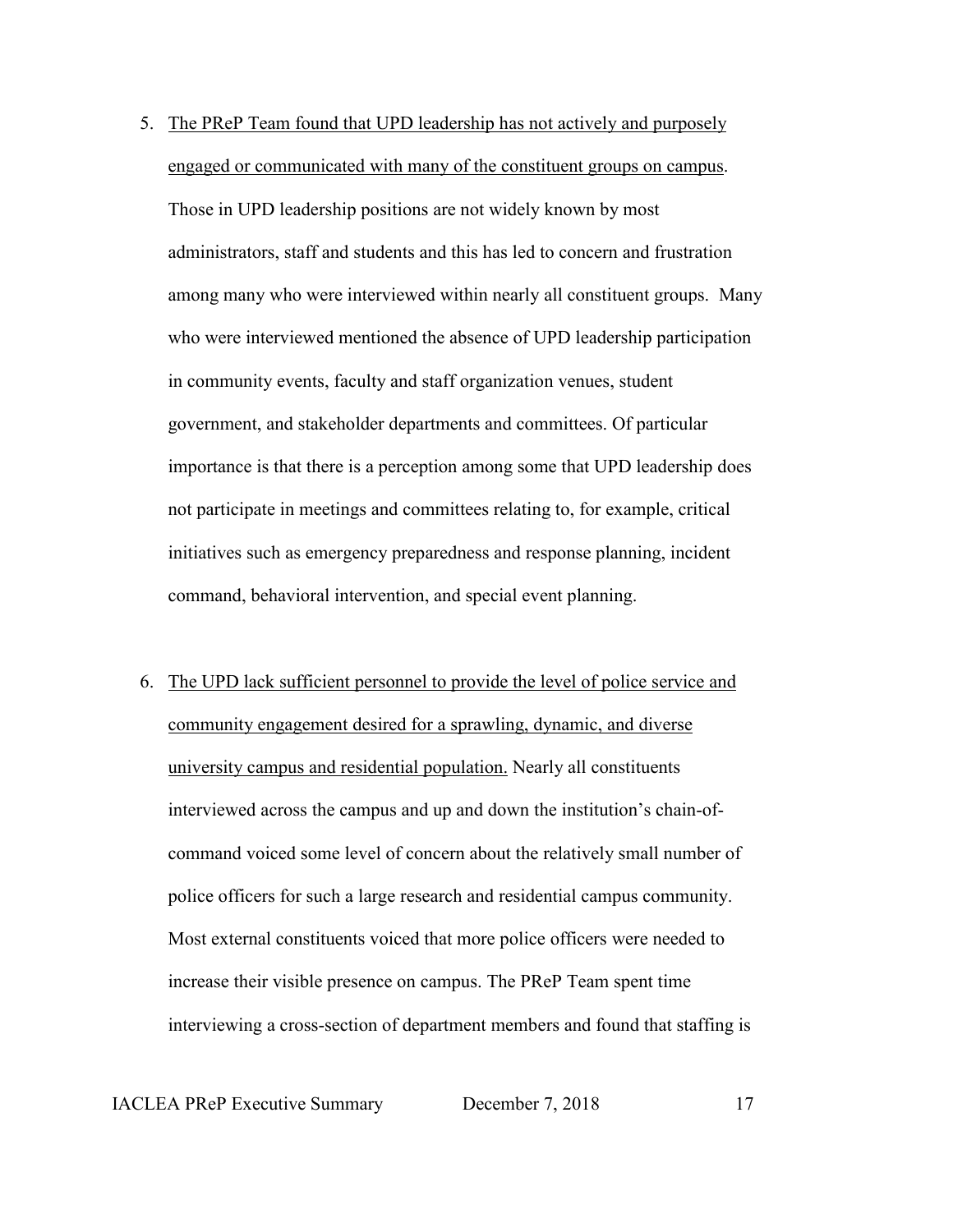- 5. The PReP Team found that UPD leadership has not actively and purposely engaged or communicated with many of the constituent groups on campus. Those in UPD leadership positions are not widely known by most administrators, staff and students and this has led to concern and frustration among many who were interviewed within nearly all constituent groups. Many who were interviewed mentioned the absence of UPD leadership participation in community events, faculty and staff organization venues, student government, and stakeholder departments and committees. Of particular importance is that there is a perception among some that UPD leadership does not participate in meetings and committees relating to, for example, critical initiatives such as emergency preparedness and response planning, incident command, behavioral intervention, and special event planning.
- 6. The UPD lack sufficient personnel to provide the level of police service and community engagement desired for a sprawling, dynamic, and diverse university campus and residential population. Nearly all constituents interviewed across the campus and up and down the institution's chain-ofcommand voiced some level of concern about the relatively small number of police officers for such a large research and residential campus community. Most external constituents voiced that more police officers were needed to increase their visible presence on campus. The PReP Team spent time interviewing a cross-section of department members and found that staffing is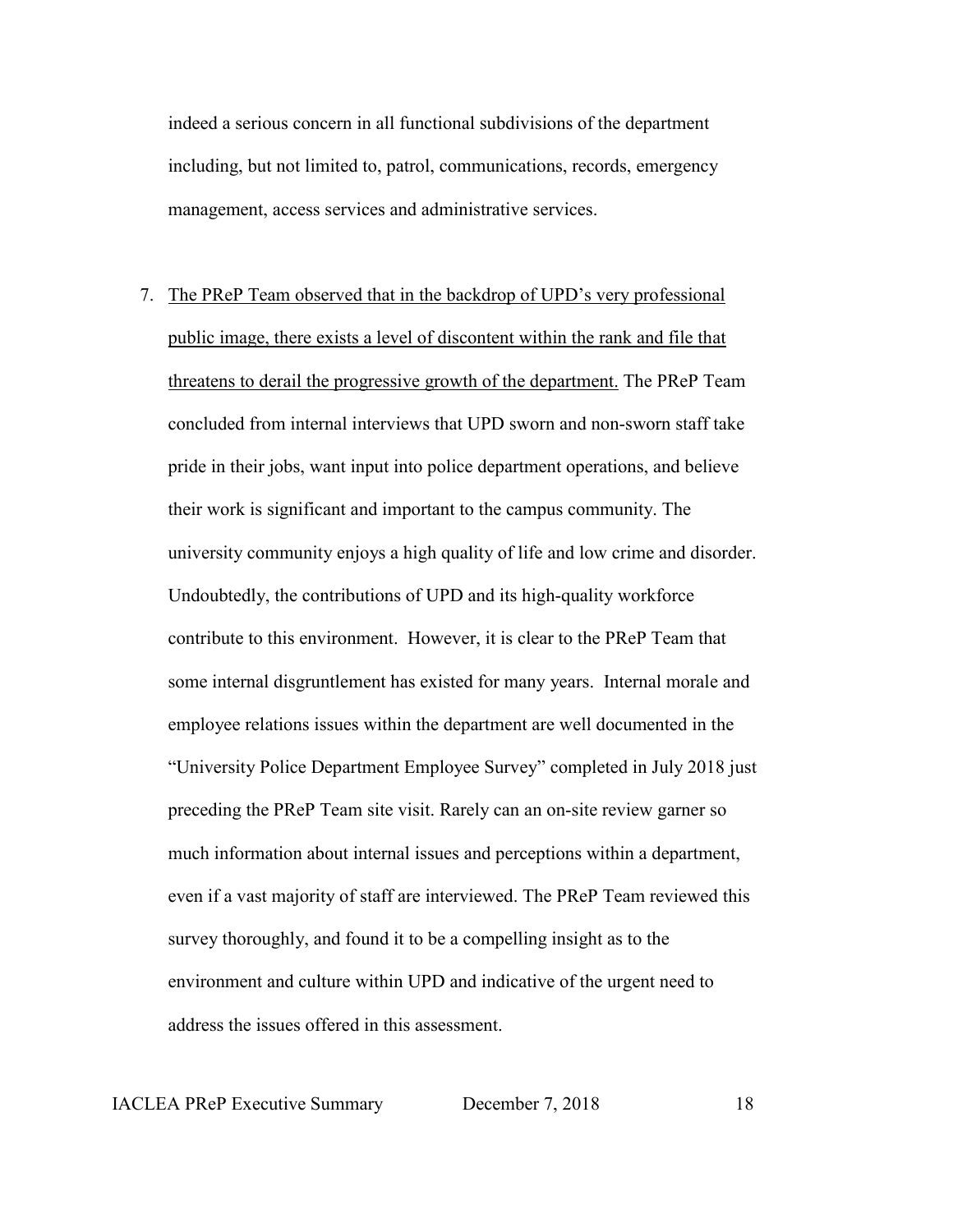indeed a serious concern in all functional subdivisions of the department including, but not limited to, patrol, communications, records, emergency management, access services and administrative services.

7. The PReP Team observed that in the backdrop of UPD's very professional public image, there exists a level of discontent within the rank and file that threatens to derail the progressive growth of the department. The PReP Team concluded from internal interviews that UPD sworn and non-sworn staff take pride in their jobs, want input into police department operations, and believe their work is significant and important to the campus community. The university community enjoys a high quality of life and low crime and disorder. Undoubtedly, the contributions of UPD and its high-quality workforce contribute to this environment. However, it is clear to the PReP Team that some internal disgruntlement has existed for many years. Internal morale and employee relations issues within the department are well documented in the "University Police Department Employee Survey" completed in July 2018 just preceding the PReP Team site visit. Rarely can an on-site review garner so much information about internal issues and perceptions within a department, even if a vast majority of staff are interviewed. The PReP Team reviewed this survey thoroughly, and found it to be a compelling insight as to the environment and culture within UPD and indicative of the urgent need to address the issues offered in this assessment.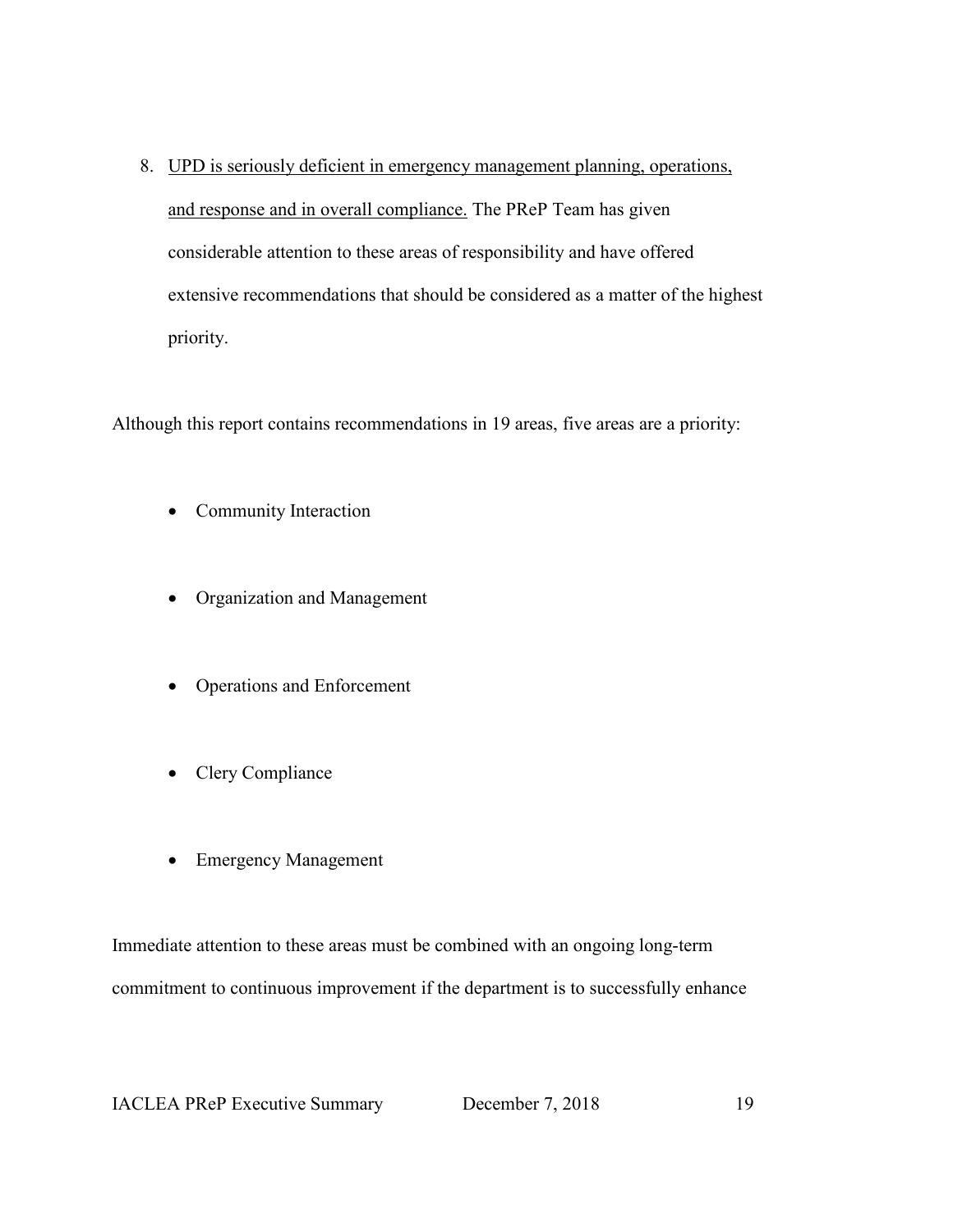8. UPD is seriously deficient in emergency management planning, operations, and response and in overall compliance. The PReP Team has given considerable attention to these areas of responsibility and have offered extensive recommendations that should be considered as a matter of the highest priority.

Although this report contains recommendations in 19 areas, five areas are a priority:

- Community Interaction
- Organization and Management
- Operations and Enforcement
- Clery Compliance
- Emergency Management

Immediate attention to these areas must be combined with an ongoing long-term commitment to continuous improvement if the department is to successfully enhance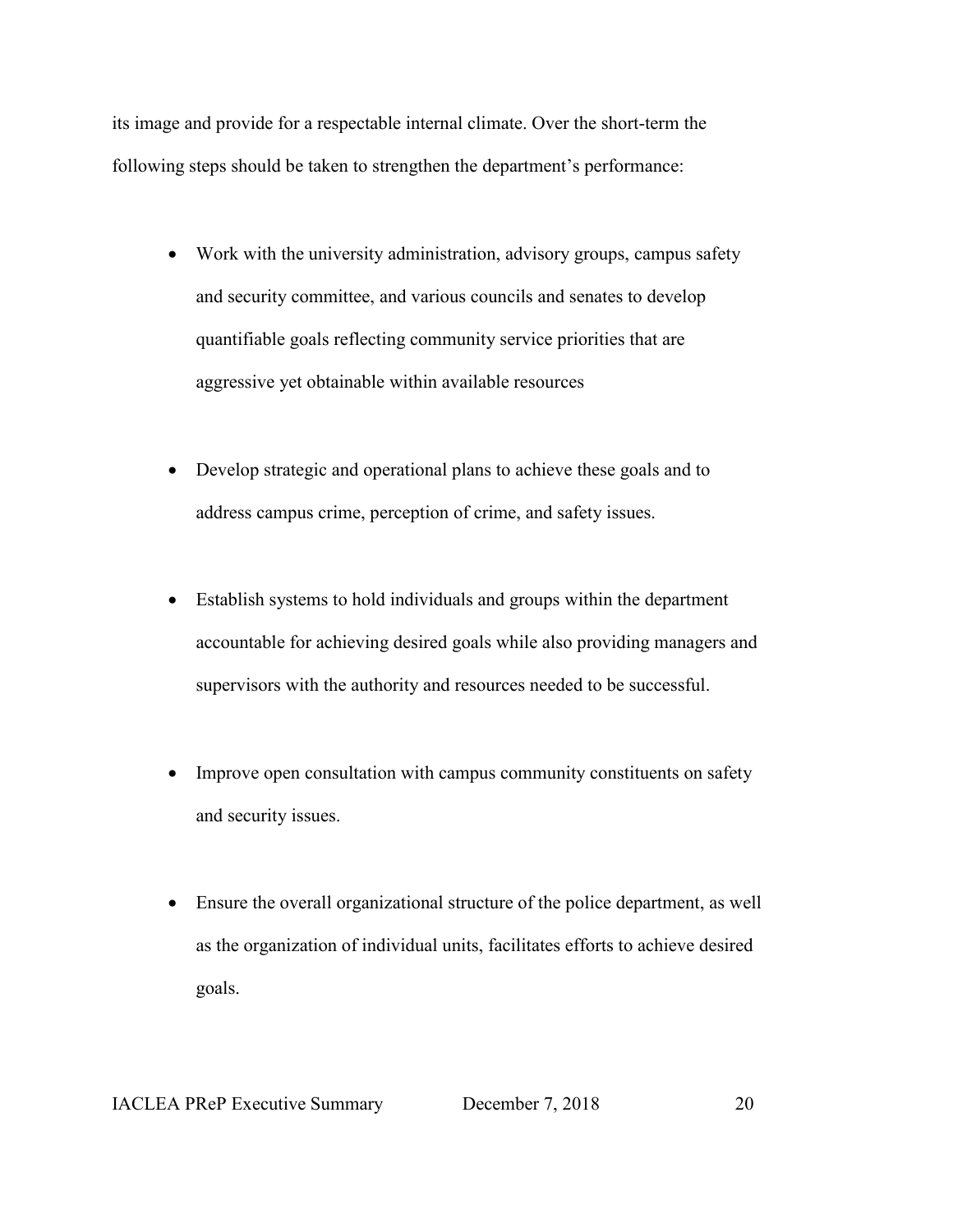its image and provide for a respectable internal climate. Over the short-term the following steps should be taken to strengthen the department's performance:

- Work with the university administration, advisory groups, campus safety and security committee, and various councils and senates to develop quantifiable goals reflecting community service priorities that are aggressive yet obtainable within available resources
- Develop strategic and operational plans to achieve these goals and to address campus crime, perception of crime, and safety issues.
- Establish systems to hold individuals and groups within the department accountable for achieving desired goals while also providing managers and supervisors with the authority and resources needed to be successful.
- Improve open consultation with campus community constituents on safety and security issues.
- Ensure the overall organizational structure of the police department, as well as the organization of individual units, facilitates efforts to achieve desired goals.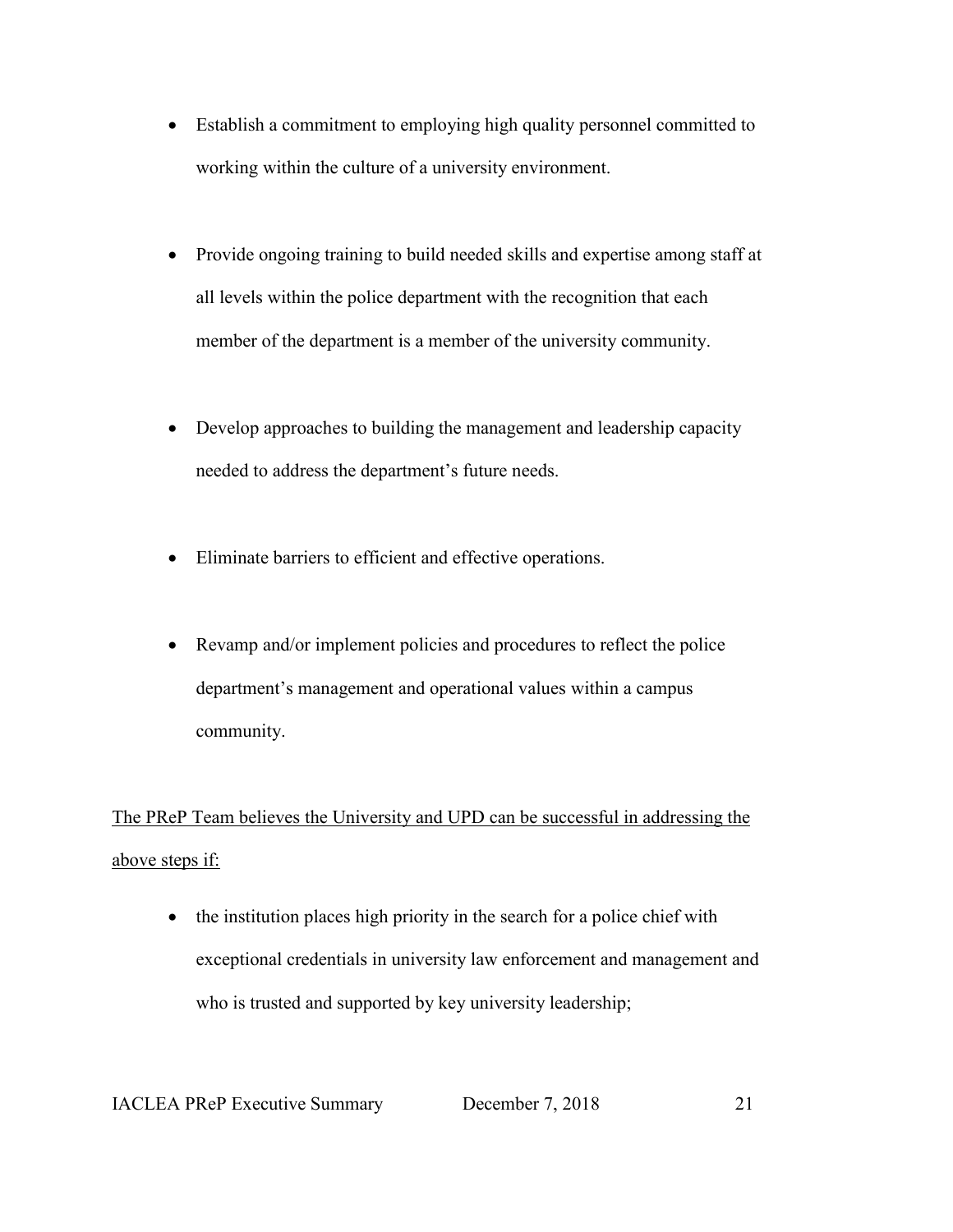- Establish a commitment to employing high quality personnel committed to working within the culture of a university environment.
- Provide ongoing training to build needed skills and expertise among staff at all levels within the police department with the recognition that each member of the department is a member of the university community.
- Develop approaches to building the management and leadership capacity needed to address the department's future needs.
- Eliminate barriers to efficient and effective operations.
- Revamp and/or implement policies and procedures to reflect the police department's management and operational values within a campus community.

The PReP Team believes the University and UPD can be successful in addressing the above steps if:

• the institution places high priority in the search for a police chief with exceptional credentials in university law enforcement and management and who is trusted and supported by key university leadership;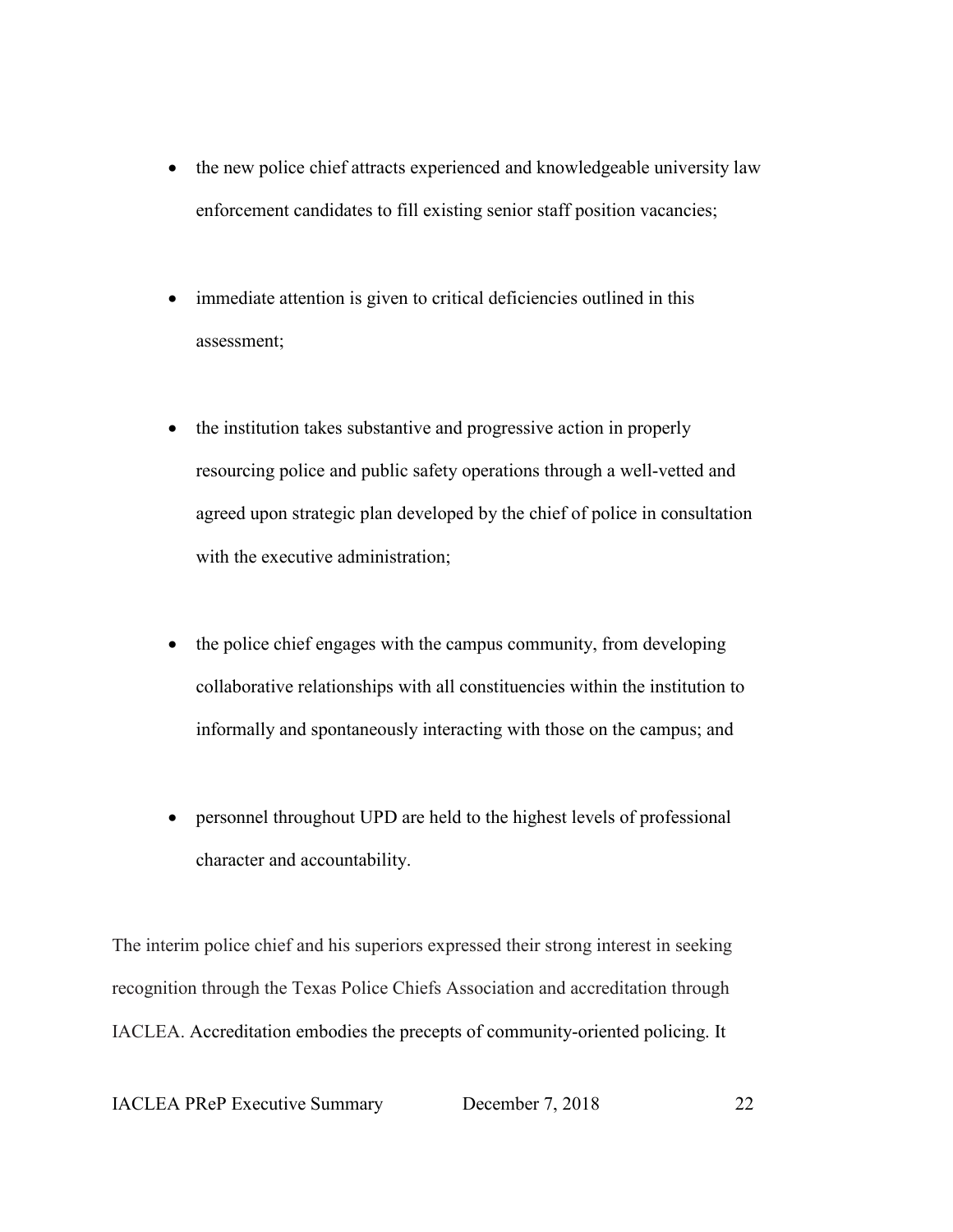- the new police chief attracts experienced and knowledgeable university law enforcement candidates to fill existing senior staff position vacancies;
- immediate attention is given to critical deficiencies outlined in this assessment;
- the institution takes substantive and progressive action in properly resourcing police and public safety operations through a well-vetted and agreed upon strategic plan developed by the chief of police in consultation with the executive administration;
- the police chief engages with the campus community, from developing collaborative relationships with all constituencies within the institution to informally and spontaneously interacting with those on the campus; and
- personnel throughout UPD are held to the highest levels of professional character and accountability.

The interim police chief and his superiors expressed their strong interest in seeking recognition through the Texas Police Chiefs Association and accreditation through IACLEA. Accreditation embodies the precepts of community-oriented policing. It